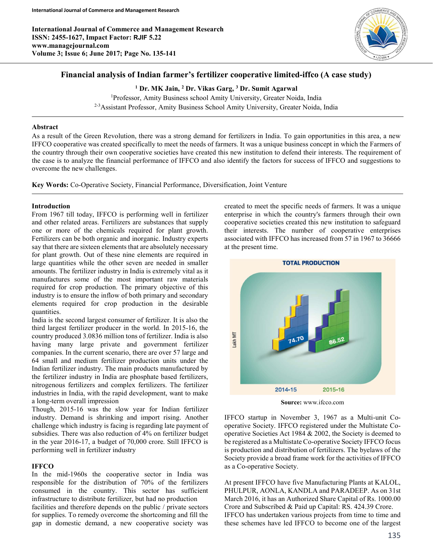International Journal of Commerce and Management Research ISSN: 2455-1627, Impact Factor: RJIF 5.22 www.managejournal.com Volume 3; Issue 6; June 2017; Page No. 135-141



# Financial analysis of Indian farmer's fertilizer cooperative limited-iffco (A case study)

<sup>1</sup> Dr. MK Jain, <sup>2</sup> Dr. Vikas Garg, <sup>3</sup> Dr. Sumit Agarwal <sup>1</sup>Professor, Amity Business school Amity University, Greater Noida, India

<sup>2-3</sup>Assistant Professor, Amity Business School Amity University, Greater Noida, India

#### Abstract

As a result of the Green Revolution, there was a strong demand for fertilizers in India. To gain opportunities in this area, a new IFFCO cooperative was created specifically to meet the needs of farmers. It was a unique business concept in which the Farmers of the country through their own cooperative societies have created this new institution to defend their interests. The requirement of the case is to analyze the financial performance of IFFCO and also identify the factors for success of IFFCO and suggestions to overcome the new challenges.

Key Words: Co-Operative Society, Financial Performance, Diversification, Joint Venture

# Introduction

From 1967 till today, IFFCO is performing well in fertilizer and other related areas. Fertilizers are substances that supply one or more of the chemicals required for plant growth. Fertilizers can be both organic and inorganic. Industry experts say that there are sixteen elements that are absolutely necessary for plant growth. Out of these nine elements are required in large quantities while the other seven are needed in smaller amounts. The fertilizer industry in India is extremely vital as it manufactures some of the most important raw materials required for crop production. The primary objective of this industry is to ensure the inflow of both primary and secondary elements required for crop production in the desirable quantities.

India is the second largest consumer of fertilizer. It is also the third largest fertilizer producer in the world. In 2015-16, the country produced 3.0836 million tons of fertilizer. India is also having many large private and government fertilizer companies. In the current scenario, there are over 57 large and 64 small and medium fertilizer production units under the Indian fertilizer industry. The main products manufactured by the fertilizer industry in India are phosphate based fertilizers, nitrogenous fertilizers and complex fertilizers. The fertilizer industries in India, with the rapid development, want to make a long-term overall impression

Though, 2015-16 was the slow year for Indian fertilizer industry. Demand is shrinking and import rising. Another challenge which industry is facing is regarding late payment of subsidies. There was also reduction of 4% on fertilizer budget in the year 2016-17, a budget of 70,000 crore. Still IFFCO is performing well in fertilizer industry

# **IFFCO**

In the mid-1960s the cooperative sector in India was responsible for the distribution of 70% of the fertilizers consumed in the country. This sector has sufficient infrastructure to distribute fertilizer, but had no production facilities and therefore depends on the public / private sectors for supplies. To remedy overcome the shortcoming and fill the gap in domestic demand, a new cooperative society was created to meet the specific needs of farmers. It was a unique enterprise in which the country's farmers through their own cooperative societies created this new institution to safeguard their interests. The number of cooperative enterprises associated with IFFCO has increased from 57 in 1967 to 36666 at the present time.



Source: www.ifcco.com

IFFCO startup in November 3, 1967 as a Multi-unit Cooperative Society. IFFCO registered under the Multistate Cooperative Societies Act 1984 & 2002, the Society is deemed to be registered as a Multistate Co-operative Society IFFCO focus is production and distribution of fertilizers. The byelaws of the Society provide a broad frame work for the activities of IFFCO as a Co-operative Society.

At present IFFCO have five Manufacturing Plants at KALOL, PHULPUR, AONLA, KANDLA and PARADEEP. As on 31st March 2016, it has an Authorized Share Capital of Rs. 1000.00 Crore and Subscribed & Paid up Capital: RS. 424.39 Crore. IFFCO has undertaken various projects from time to time and these schemes have led IFFCO to become one of the largest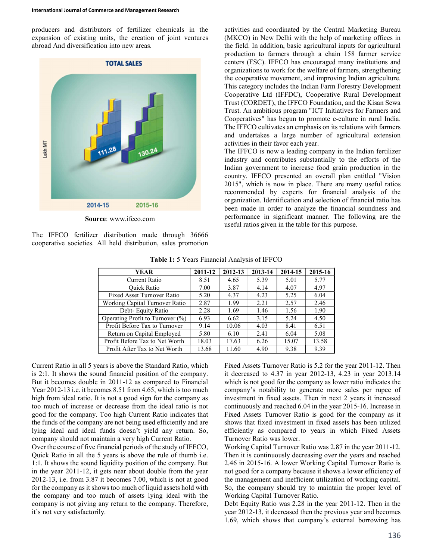producers and distributors of fertilizer chemicals in the expansion of existing units, the creation of joint ventures abroad And diversification into new areas.



Source: www.ifcco.com

The IFFCO fertilizer distribution made through 36666 cooperative societies. All held distribution, sales promotion

activities and coordinated by the Central Marketing Bureau (MKCO) in New Delhi with the help of marketing offices in the field. In addition, basic agricultural inputs for agricultural production to farmers through a chain 158 farmer service centers (FSC). IFFCO has encouraged many institutions and organizations to work for the welfare of farmers, strengthening the cooperative movement, and improving Indian agriculture. This category includes the Indian Farm Forestry Development Cooperative Ltd (IFFDC), Cooperative Rural Development Trust (CORDET), the IFFCO Foundation, and the Kisan Sewa Trust. An ambitious program "ICT Initiatives for Farmers and Cooperatives" has begun to promote e-culture in rural India. The IFFCO cultivates an emphasis on its relations with farmers and undertakes a large number of agricultural extension activities in their favor each year.

The IFFCO is now a leading company in the Indian fertilizer industry and contributes substantially to the efforts of the Indian government to increase food grain production in the country. IFFCO presented an overall plan entitled "Vision 2015", which is now in place. There are many useful ratios recommended by experts for financial analysis of the organization. Identification and selection of financial ratio has been made in order to analyze the financial soundness and performance in significant manner. The following are the useful ratios given in the table for this purpose.

| YEAR                                | 2011-12 | 2012-13 | 2013-14 | 2014-15 | 2015-16 |
|-------------------------------------|---------|---------|---------|---------|---------|
| Current Ratio                       | 8.51    | 4.65    | 5.39    | 5.01    | 5.77    |
| <b>Ouick Ratio</b>                  | 7.00    | 3.87    | 4.14    | 4.07    | 4.97    |
| Fixed Asset Turnover Ratio          | 5.20    | 4.37    | 4.23    | 5.25    | 6.04    |
| Working Capital Turnover Ratio      | 2.87    | 1.99    | 2.21    | 2.57    | 2.46    |
| Debt- Equity Ratio                  | 2.28    | 1.69    | 1.46    | 1.56    | 1.90    |
| Operating Profit to Turnover $(\%)$ | 6.93    | 6.62    | 3.15    | 5.24    | 4.50    |
| Profit Before Tax to Turnover       | 9.14    | 10.06   | 4.03    | 8.41    | 6.51    |
| Return on Capital Employed          | 5.80    | 6.10    | 2.41    | 6.04    | 5.08    |
| Profit Before Tax to Net Worth      | 18.03   | 17.63   | 6.26    | 15.07   | 13.58   |
| Profit After Tax to Net Worth       | 13.68   | 11.60   | 4.90    | 9.38    | 9.39    |

Table 1: 5 Years Financial Analysis of IFFCO

Current Ratio in all 5 years is above the Standard Ratio, which is 2:1. It shows the sound financial position of the company. But it becomes double in 2011-12 as compared to Financial Year 2012-13 i.e. it becomes 8.51 from 4.65, which is too much high from ideal ratio. It is not a good sign for the company as too much of increase or decrease from the ideal ratio is not good for the company. Too high Current Ratio indicates that the funds of the company are not being used efficiently and are lying ideal and ideal funds doesn't yield any return. So, company should not maintain a very high Current Ratio.

Over the course of five financial periods of the study of IFFCO, Quick Ratio in all the 5 years is above the rule of thumb i.e. 1:1. It shows the sound liquidity position of the company. But in the year 2011-12, it gets near about double from the year 2012-13, i.e. from 3.87 it becomes 7.00, which is not at good for the company as it shows too much of liquid assets hold with the company and too much of assets lying ideal with the company is not giving any return to the company. Therefore, it's not very satisfactorily.

Fixed Assets Turnover Ratio is 5.2 for the year 2011-12. Then it decreased to 4.37 in year 2012-13, 4.23 in year 2013.14 which is not good for the company as lower ratio indicates the company's notability to generate more sales per rupee of investment in fixed assets. Then in next 2 years it increased continuously and reached 6.04 in the year 2015-16. Increase in Fixed Assets Turnover Ratio is good for the company as it shows that fixed investment in fixed assets has been utilized efficiently as compared to years in which Fixed Assets Turnover Ratio was lower.

Working Capital Turnover Ratio was 2.87 in the year 2011-12. Then it is continuously decreasing over the years and reached 2.46 in 2015-16. A lower Working Capital Turnover Ratio is not good for a company because it shows a lower efficiency of the management and inefficient utilization of working capital. So, the company should try to maintain the proper level of Working Capital Turnover Ratio.

Debt Equity Ratio was 2.28 in the year 2011-12. Then in the year 2012-13, it decreased then the previous year and becomes 1.69, which shows that company's external borrowing has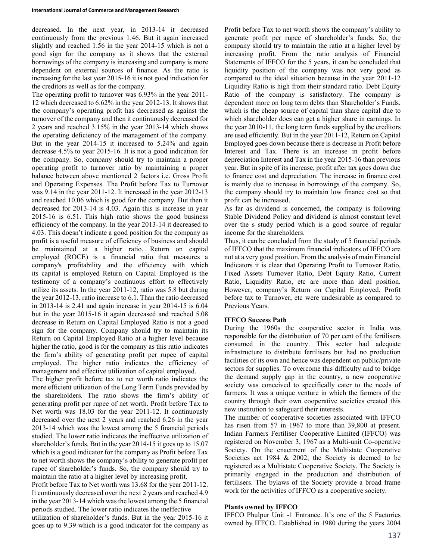decreased. In the next year, in 2013-14 it decreased continuously from the previous 1.46. But it again increased slightly and reached 1.56 in the year 2014-15 which is not a good sign for the company as it shows that the external borrowings of the company is increasing and company is more dependent on external sources of finance. As the ratio is increasing for the last year 2015-16 it is not good indication for the creditors as well as for the company.

The operating profit to turnover was 6.93% in the year 2011- 12 which decreased to 6.62% in the year 2012-13. It shows that the company's operating profit has decreased as against the turnover of the company and then it continuously decreased for 2 years and reached 3.15% in the year 2013-14 which shows the operating deficiency of the management of the company. But in the year 2014-15 it increased to 5.24% and again decrease 4.5% to year 2015-16. It is not a good indication for the company. So, company should try to maintain a proper operating profit to turnover ratio by maintaining a proper balance between above mentioned 2 factors i.e. Gross Profit and Operating Expenses. The Profit before Tax to Turnover was 9.14 in the year 2011-12. It increased in the year 2012-13 and reached 10.06 which is good for the company. But then it decreased for 2013-14 is 4.03. Again this is increase in year 2015-16 is 6.51. This high ratio shows the good business efficiency of the company. In the year 2013-14 it decreased to 4.03. This doesn't indicate a good position for the company as profit is a useful measure of efficiency of business and should be maintained at a higher ratio. Return on capital employed (ROCE) is a financial ratio that measures a company's profitability and the efficiency with which its capital is employed Return on Capital Employed is the testimony of a company's continuous effort to effectively utilize its assets. In the year 2011-12, ratio was 5.8 but during the year 2012-13, ratio increase to 6.1. Than the ratio decreased in 2013-14 is 2.41 and again increase in year 2014-15 is 6.04 but in the year 2015-16 it again decreased and reached 5.08 decrease in Return on Capital Employed Ratio is not a good sign for the company. Company should try to maintain its Return on Capital Employed Ratio at a higher level because higher the ratio, good is for the company as this ratio indicates the firm's ability of generating profit per rupee of capital employed. The higher ratio indicates the efficiency of management and effective utilization of capital employed.

The higher profit before tax to net worth ratio indicates the more efficient utilization of the Long Term Funds provided by the shareholders. The ratio shows the firm's ability of generating profit per rupee of net worth. Profit before Tax to Net worth was 18.03 for the year 2011-12. It continuously decreased over the next 2 years and reached 6.26 in the year 2013-14 which was the lowest among the 5 financial periods studied. The lower ratio indicates the ineffective utilization of shareholder's funds. But in the year 2014-15 it goes up to 15.07 which is a good indicator for the company as Profit before Tax to net worth shows the company's ability to generate profit per rupee of shareholder's funds. So, the company should try to maintain the ratio at a higher level by increasing profit.

Profit before Tax to Net worth was 13.68 for the year 2011-12. It continuously decreased over the next 2 years and reached 4.9 in the year 2013-14 which was the lowest among the 5 financial periods studied. The lower ratio indicates the ineffective utilization of shareholder's funds. But in the year 2015-16 it goes up to 9.39 which is a good indicator for the company as Profit before Tax to net worth shows the company's ability to generate profit per rupee of shareholder's funds. So, the company should try to maintain the ratio at a higher level by increasing profit. From the ratio analysis of Financial Statements of IFFCO for the 5 years, it can be concluded that liquidity position of the company was not very good as compared to the ideal situation because in the year 2011-12 Liquidity Ratio is high from their standard ratio. Debt Equity Ratio of the company is satisfactory. The company is dependent more on long term debts than Shareholder's Funds, which is the cheap source of capital than share capital due to which shareholder does can get a higher share in earnings. In the year 2010-11, the long term funds supplied by the creditors are used efficiently. But in the year 2011-12, Return on Capital Employed goes down because there is decrease in Profit before Interest and Tax. There is an increase in profit before depreciation Interest and Tax in the year 2015-16 than previous year. But in spite of its increase, profit after tax goes down due to finance cost and depreciation. The increase in finance cost is mainly due to increase in borrowings of the company. So, the company should try to maintain low finance cost so that profit can be increased.

As far as dividend is concerned, the company is following Stable Dividend Policy and dividend is almost constant level over the s study period which is a good source of regular income for the shareholders.

Thus, it can be concluded from the study of 5 financial periods of IFFCO that the maximum financial indicators of IFFCO are not at a very good position. From the analysis of main Financial Indicators it is clear that Operating Profit to Turnover Ratio, Fixed Assets Turnover Ratio, Debt Equity Ratio, Current Ratio, Liquidity Ratio, etc are more than ideal position. However, company's Return on Capital Employed, Profit before tax to Turnover, etc were undesirable as compared to Previous Years.

#### IFFCO Success Path

During the 1960s the cooperative sector in India was responsible for the distribution of 70 per cent of the fertilisers consumed in the country. This sector had adequate infrastructure to distribute fertilisers but had no production facilities of its own and hence was dependent on public/private sectors for supplies. To overcome this difficulty and to bridge the demand supply gap in the country, a new cooperative society was conceived to specifically cater to the needs of farmers. It was a unique venture in which the farmers of the country through their own cooperative societies created this new institution to safeguard their interests.

The number of cooperative societies associated with IFFCO has risen from 57 in 1967 to more than 39,800 at present. Indian Farmers Fertiliser Cooperative Limited (IFFCO) was registered on November 3, 1967 as a Multi-unit Co-operative Society. On the enactment of the Multistate Cooperative Societies act 1984 & 2002, the Society is deemed to be registered as a Multistate Cooperative Society. The Society is primarily engaged in the production and distribution of fertilisers. The bylaws of the Society provide a broad frame work for the activities of IFFCO as a cooperative society.

#### Plants owned by IFFCO

IFFCO Phulpur Unit -1 Entrance. It's one of the 5 Factories owned by IFFCO. Established in 1980 during the years 2004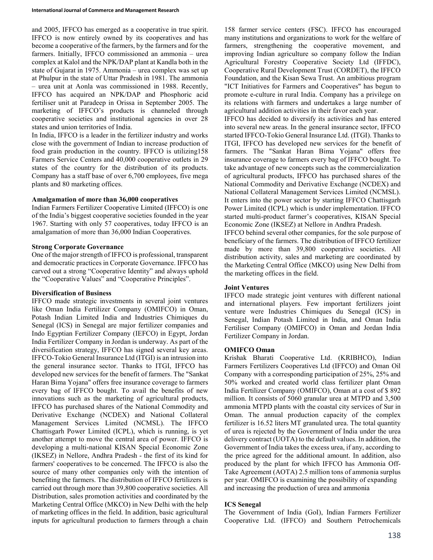and 2005, IFFCO has emerged as a cooperative in true spirit. IFFCO is now entirely owned by its cooperatives and has become a cooperative of the farmers, by the farmers and for the farmers. Initially, IFFCO commissioned an ammonia – urea complex at Kalol and the NPK/DAP plant at Kandla both in the state of Gujarat in 1975. Ammonia – urea complex was set up at Phulpur in the state of Uttar Pradesh in 1981. The ammonia – urea unit at Aonla was commissioned in 1988. Recently, IFFCO has acquired an NPK/DAP and Phosphoric acid fertiliser unit at Paradeep in Orissa in September 2005. The marketing of IFFCO's products is channeled through cooperative societies and institutional agencies in over 28 states and union territories of India.

In India, IFFCO is a leader in the fertilizer industry and works close with the government of Indian to increase production of food grain production in the country. IFFCO is utilizing158 Farmers Service Centers and 40,000 cooperative outlets in 29 states of the country for the distribution of its products. Company has a staff base of over 6,700 employees, five mega plants and 80 marketing offices.

#### Amalgamation of more than 36,000 cooperatives

Indian Farmers Fertilizer Cooperative Limited (IFFCO) is one of the India's biggest cooperative societies founded in the year 1967. Starting with only 57 cooperatives, today IFFCO is an amalgamation of more than 36,000 Indian Cooperatives.

# Strong Corporate Governance

One of the major strength of IFFCO is professional, transparent and democratic practices in Corporate Governance. IFFCO has carved out a strong "Cooperative Identity" and always uphold the "Cooperative Values" and "Cooperative Principles".

# Diversification of Business

IFFCO made strategic investments in several joint ventures like Oman India Fertilizer Company (OMIFCO) in Oman, Potash Indian Limited India and Industries Chimiques du Senegal (ICS) in Senegal are major fertilizer companies and Indo Egyptian Fertilizer Company (IEFCO) in Egypt, Jordan India Fertilizer Company in Jordan is underway. As part of the diversification strategy, IFFCO has signed several key areas. IFFCO-Tokio General Insurance Ltd (ITGI) is an intrusion into the general insurance sector. Thanks to ITGI, IFFCO has developed new services for the benefit of farmers. The "Sankat Haran Bima Yojana" offers free insurance coverage to farmers every bag of IFFCO bought. To avail the benefits of new innovations such as the marketing of agricultural products, IFFCO has purchased shares of the National Commodity and Derivative Exchange (NCDEX) and National Collateral Management Services Limited (NCMSL). The IFFCO Chattisgarh Power Limited (ICPL), which is running, is yet another attempt to move the central area of power. IFFCO is developing a multi-national KISAN Special Economic Zone (IKSEZ) in Nellore, Andhra Pradesh - the first of its kind for farmers' cooperatives to be concerned. The IFFCO is also the source of many other companies only with the intention of benefiting the farmers. The distribution of IFFCO fertilizers is carried out through more than 39,800 cooperative societies. All Distribution, sales promotion activities and coordinated by the Marketing Central Office (MKCO) in New Delhi with the help of marketing offices in the field. In addition, basic agricultural inputs for agricultural production to farmers through a chain

158 farmer service centers (FSC). IFFCO has encouraged many institutions and organizations to work for the welfare of farmers, strengthening the cooperative movement, and improving Indian agriculture so company follow the Indian Agricultural Forestry Cooperative Society Ltd (IFFDC), Cooperative Rural Development Trust (CORDET), the IFFCO Foundation, and the Kisan Sewa Trust. An ambitious program "ICT Initiatives for Farmers and Cooperatives" has begun to promote e-culture in rural India. Company has a privilege on its relations with farmers and undertakes a large number of agricultural addition activities in their favor each year.

IFFCO has decided to diversify its activities and has entered into several new areas. In the general insurance sector, IFFCO started IFFCO-Tokio General Insurance Ltd. (ITGI). Thanks to ITGI, IFFCO has developed new services for the benefit of farmers. The "Sankat Haran Bima Yojana" offers free insurance coverage to farmers every bag of IFFCO bought. To take advantage of new concepts such as the commercialization of agricultural products, IFFCO has purchased shares of the National Commodity and Derivative Exchange (NCDEX) and National Collateral Management Services Limited (NCMSL). It enters into the power sector by starting IFFCO Chattisgarh Power Limited (ICPL) which is under implementation. IFFCO started multi-product farmer's cooperatives, KISAN Special Economic Zone (IKSEZ) at Nellore in Andhra Pradesh.

IFFCO behind several other companies, for the sole purpose of beneficiary of the farmers. The distribution of IFFCO fertilizer made by more than 39,800 cooperative societies. All distribution activity, sales and marketing are coordinated by the Marketing Central Office (MKCO) using New Delhi from the marketing offices in the field.

# Joint Ventures

IFFCO made strategic joint ventures with different national and international players. Few important fertilizers joint venture were Industries Chimiques du Senegal (ICS) in Senegal, Indian Potash Limited in India, and Oman India Fertiliser Company (OMIFCO) in Oman and Jordan India Fertilizer Company in Jordan.

# OMIFCO Oman

Krishak Bharati Cooperative Ltd. (KRIBHCO), Indian Farmers Fertilizers Cooperatives Ltd (IFFCO) and Oman Oil Company with a corresponding participation of 25%, 25% and 50% worked and created world class fertilizer plant Oman India Fertilizer Company (OMIFCO), Oman at a cost of \$ 892 million. It consists of 5060 granular urea at MTPD and 3,500 ammonia MTPD plants with the coastal city services of Sur in Oman. The annual production capacity of the complex fertilizer is 16.52 liters MT granulated urea. The total quantity of urea is rejected by the Government of India under the urea delivery contract (UOTA) to the default values. In addition, the Government of India takes the excess urea, if any, according to the price agreed for the additional amount. In addition, also produced by the plant for which IFFCO has Ammonia Off-Take Agreement (AOTA) 2.5 million tons of ammonia surplus per year. OMIFCO is examining the possibility of expanding and increasing the production of urea and ammonia

# ICS Senegal

The Government of India (GoI), Indian Farmers Fertilizer Cooperative Ltd. (IFFCO) and Southern Petrochemicals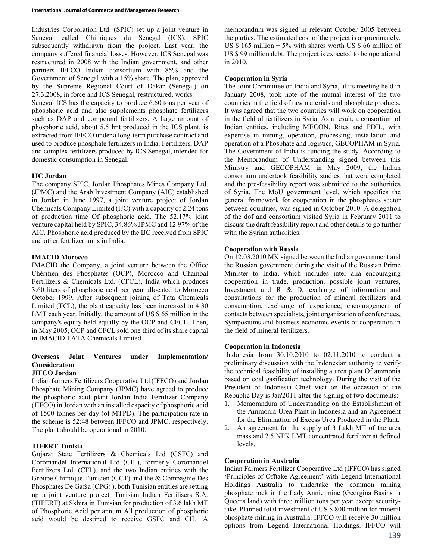Industries Corporation Ltd. (SPIC) set up a joint venture in Senegal called Chimiques du Senegal (ICS). SPIC subsequently withdrawn from the project. Last year, the company suffered financial losses. However, ICS Senegal was restructured in 2008 with the Indian government, and other partners IFFCO Indian consortium with 85% and the Government of Senegal with a 15% share. The plan, approved by the Supreme Regional Court of Dakar (Senegal) on 27.3.2008, in force and ICS Senegal, restructured, works.

Senegal ICS has the capacity to produce 6.60 tons per year of phosphoric acid and also supplements phosphate fertilizers such as DAP and compound fertilizers. A large amount of phosphoric acid, about 5.5 lmt produced in the ICS plant, is extracted from IFFCO under a long-term purchase contract and used to produce phosphate fertilizers in India. Fertilizers, DAP and complex fertilizers produced by ICS Senegal, intended for domestic consumption in Senegal.

# IJC Jordan

The company SPIC, Jordan Phosphates Mines Company Ltd. (JPMC) and the Arab Investment Company (AIC) established in Jordan in June 1997, a joint venture project of Jordan Chemicals Company Limited (IJC) with a capacity of 2.24 tons of production time Of phosphoric acid. The 52.17% joint venture capital held by SPIC, 34.86% JPMC and 12.97% of the AIC. Phosphoric acid produced by the IJC received from SPIC and other fertilizer units in India.

# IMACID Morocco

IMACID the Company, a joint venture between the Office Chérifien des Phosphates (OCP), Morocco and Chambal Fertilizers & Chemicals Ltd. (CFCL), India which produces 3.60 liters of phosphoric acid per year allocated to Morocco October 1999. After subsequent joining of Tata Chemicals Limited (TCL), the plant capacity has been increased to 4.30 LMT each year. Initially, the amount of US \$ 65 million in the company's equity held equally by the OCP and CFCL. Then, in May 2005, OCP and CFCL sold one third of its share capital in IMACID TATA Chemicals Limited.

# Overseas Joint Ventures under Implementation/ Consideration

# JIFCO Jordan

Indian farmers Fertilizers Cooperative Ltd (IFFCO) and Jordan Phosphate Mining Company (JPMC) have agreed to produce the phosphoric acid plant Jordan India Fertilizer Company (JIFCO) in Jordan with an installed capacity of phosphoric acid of 1500 tonnes per day (of MTPD). The participation rate in the scheme is 52:48 between IFFCO and JPMC, respectively. The plant should be operational in 2010.

# TIFERT Tunisia

Gujarat State Fertilizers & Chemicals Ltd (GSFC) and Coromandel International Ltd (CIL), formerly Coromandel Fertilizers Ltd. (CFL), and the two Indian entities with the Groupe Chimique Tunisien (GCT) and the & Compagnie Des Phosphates De Gafsa (CPG) ), both Tunisian entities are setting up a joint venture project, Tunisian Indian Fertilisers S.A. (TIFERT) at Skhira in Tunisian for production of 3.6 lakh MT of Phosphoric Acid per annum All production of phosphoric acid would be destined to receive GSFC and CIL. A

memorandum was signed in relevant October 2005 between the parties. The estimated cost of the project is approximately. US  $$ 165$  million  $+ 5\%$  with shares worth US  $$ 66$  million of US \$ 99 million debt. The project is expected to be operational in 2010.

#### Cooperation in Syria

The Joint Committee on India and Syria, at its meeting held in January 2008, took note of the mutual interest of the two countries in the field of raw materials and phosphate products. It was agreed that the two countries will work on cooperation in the field of fertilizers in Syria. As a result, a consortium of Indian entities, including MECON, Rites and PDIL, with expertise in mining, operation, processing, installation and operation of a Phosphate and logistics, GECOPHAM in Syria. The Government of India is funding the study. According to the Memorandum of Understanding signed between this Ministry and GECOPHAM in May 2009, the Indian consortium undertook feasibility studies that were completed and the pre-feasibility report was submitted to the authorities of Syria. The MoU government level, which specifies the general framework for cooperation in the phosphates sector between countries, was signed in October 2010. A delegation of the dof and consortium visited Syria in February 2011 to discuss the draft feasibility report and other details to go further with the Syrian authorities.

# Cooperation with Russia

On 12.03.2010 MK signed between the Indian government and the Russian government during the visit of the Russian Prime Minister to India, which includes inter alia encouraging cooperation in trade, production, possible joint ventures, Investment and R & D, exchange of information and consultations for the production of mineral fertilizers and consumption, exchange of experience, encouragement of contacts between specialists, joint organization of conferences, Symposiums and business economic events of cooperation in the field of mineral fertilizers.

# Cooperation in Indonesia

 Indonesia from 30.10.2010 to 02.11.2010 to conduct a preliminary discussion with the Indonesian authority to verify the technical feasibility of installing a urea plant Of ammonia based on coal gasification technology. During the visit of the President of Indonesia Chief visit on the occasion of the Republic Day is Jan'2011 after the signing of two documents:

- 1. Memorandum of Understanding on the Establishment of the Ammonia Urea Plant in Indonesia and an Agreement for the Elimination of Excess Urea Produced in the Plant.
- 2. An agreement for the supply of 3 Lakh MT of the urea mass and 2.5 NPK LMT concentrated fertilizer at defined levels.

# Cooperation in Australia

Indian Farmers Fertilizer Cooperative Ltd (IFFCO) has signed 'Principles of Offtake Agreement' with Legend International Holdings Australia to undertake the common mining phosphate rock in the Lady Annie mine (Georgina Basins in Queens land) with three million tons per year except securitytake. Planned total investment of US \$ 800 million for mineral phosphate mining in Australia. IFFCO will receive 30 million options from Legend International Holdings. IFFCO will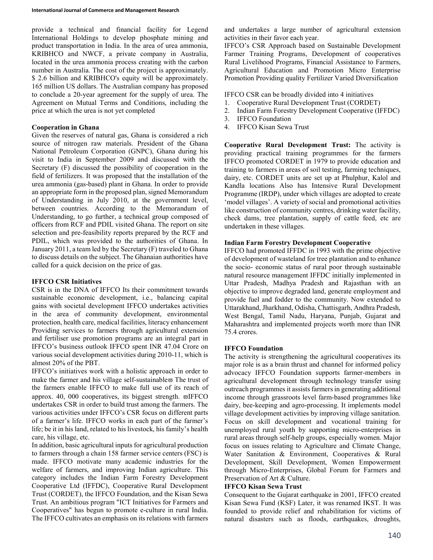provide a technical and financial facility for Legend International Holdings to develop phosphate mining and product transportation in India. In the area of urea ammonia, KRIBHCO and NWCF, a private company in Australia, located in the urea ammonia process creating with the carbon number in Australia. The cost of the project is approximately. \$ 2.6 billion and KRIBHCO's equity will be approximately. 165 million US dollars. The Australian company has proposed to conclude a 20-year agreement for the supply of urea. The Agreement on Mutual Terms and Conditions, including the price at which the urea is not yet completed

# Cooperation in Ghana

Given the reserves of natural gas, Ghana is considered a rich source of nitrogen raw materials. President of the Ghana National Petroleum Corporation (GNPC), Ghana during his visit to India in September 2009 and discussed with the Secretary (F) discussed the possibility of cooperation in the field of fertilizers. It was proposed that the installation of the urea ammonia (gas-based) plant in Ghana. In order to provide an appropriate form in the proposed plan, signed Memorandum of Understanding in July 2010, at the government level, between countries. According to the Memorandum of Understanding, to go further, a technical group composed of officers from RCF and PDIL visited Ghana. The report on site selection and pre-feasibility reports prepared by the RCF and PDIL, which was provided to the authorities of Ghana. In January 2011, a team led by the Secretary (F) traveled to Ghana to discuss details on the subject. The Ghanaian authorities have called for a quick decision on the price of gas.

#### IFFCO CSR Initiatives

CSR is in the DNA of IFFCO Its their commitment towards sustainable economic development, i.e., balancing capital gains with societal development IFFCO undertakes activities in the area of community development, environmental protection, health care, medical facilities, literacy enhancement Providing services to farmers through agricultural extension and fertiliser use promotion programs are an integral part in IFFCO's business outlook IFFCO spent INR 47.04 Crore on various social development activities during 2010-11, which is almost 20% of the PBT.

IFFCO's initiatives work with a holistic approach in order to make the farmer and his village self-sustainable $\varpi$  The trust of the farmers enable IFFCO to make full use of its reach of approx. 40, 000 cooperatives, its biggest strength.  $\varpi$ IFFCO undertakes CSR in order to build trust among the farmers. The various activities under IFFCO's CSR focus on different parts of a farmer's life. IFFCO works in each part of the farmer's life; be it in his land, related to his livestock, his family's health care, his village, etc.

In addition, basic agricultural inputs for agricultural production to farmers through a chain 158 farmer service centers (FSC) is made. IFFCO motivate many academic industries for the welfare of farmers, and improving Indian agriculture. This category includes the Indian Farm Forestry Development Cooperative Ltd (IFFDC), Cooperative Rural Development Trust (CORDET), the IFFCO Foundation, and the Kisan Sewa Trust. An ambitious program "ICT Initiatives for Farmers and Cooperatives" has begun to promote e-culture in rural India. The IFFCO cultivates an emphasis on its relations with farmers and undertakes a large number of agricultural extension activities in their favor each year.

IFFCO's CSR Approach based on Sustainable Development Farmer Training Programs, Development of cooperatives Rural Livelihood Programs, Financial Assistance to Farmers, Agricultural Education and Promotion Micro Enterprise Promotion Providing quality Fertilizer Varied Diversification

IFFCO CSR can be broadly divided into 4 initiatives

- 1. Cooperative Rural Development Trust (CORDET)
- 2. Indian Farm Forestry Development Cooperative (IFFDC)
- 3. IFFCO Foundation
- 4. IFFCO Kisan Sewa Trust

Cooperative Rural Development Trust: The activity is providing practical training programmes for the farmers IFFCO promoted CORDET in 1979 to provide education and training to farmers in areas of soil testing, farming techniques, dairy, etc. CORDET units are set up at Phulphur, Kalol and Kandla locations Also has Intensive Rural Development Programme (IRDP), under which villages are adopted to create 'model villages'. A variety of social and promotional activities like construction of community centres, drinking water facility, check dams, tree plantation, supply of cattle feed, etc are undertaken in these villages.

# Indian Farm Forestry Development Cooperative

IFFCO had promoted IFFDC in 1993 with the prime objective of development of wasteland for tree plantation and to enhance the socio- economic status of rural poor through sustainable natural resource management IFFDC initially implemented in Uttar Pradesh, Madhya Pradesh and Rajasthan with an objective to improve degraded land, generate employment and provide fuel and fodder to the community. Now extended to Uttarakhand, Jharkhand, Odisha, Chattisgarh, Andhra Pradesh, West Bengal, Tamil Nadu, Haryana, Punjab, Gujarat and Maharashtra and implemented projects worth more than INR 75.4 crores.

# IFFCO Foundation

The activity is strengthening the agricultural cooperatives its major role is as a brain thrust and channel for informed policy advocacy IFFCO Foundation supports farmer-members in agricultural development through technology transfer using outreach programmes it assists farmers in generating additional income through grassroots level farm-based programmes like dairy, bee-keeping and agro-processing. It implements model village development activities by improving village sanitation. Focus on skill development and vocational training for unemployed rural youth by supporting micro-enterprises in rural areas through self-help groups, especially women. Major focus on issues relating to Agriculture and Climate Change, Water Sanitation & Environment, Cooperatives & Rural Development, Skill Development, Women Empowerment through Micro-Enterprises, Global Forum for Farmers and Preservation of Art & Culture.

# IFFCO Kisan Sewa Trust

Consequent to the Gujarat earthquake in 2001, IFFCO created Kisan Sewa Fund (KSF) Later, it was renamed IKST. It was founded to provide relief and rehabilitation for victims of natural disasters such as floods, earthquakes, droughts,